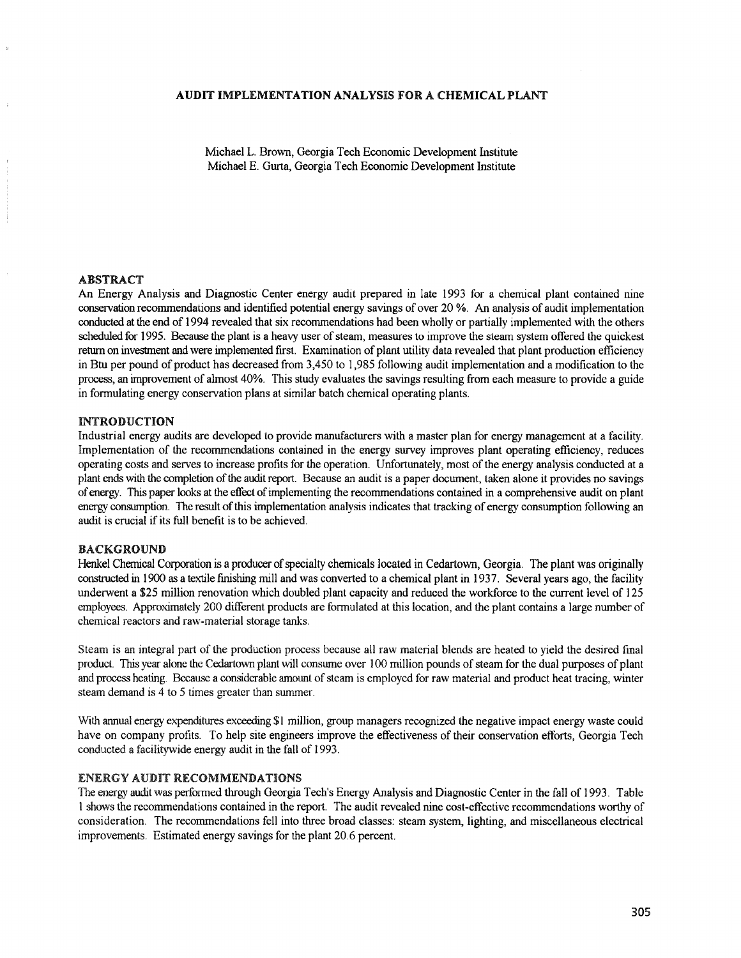#### AUDIT IMPLEMENTATION ANALYSIS FORA CHEMICAL PLANT

Michael L. Brown, Georgia Tech Economic Development Institute Michael E. Ourta, Georgia Tech Economic Development Institute

#### ABSTRACT

An Energy Analysis and Diagnostic Center energy audit prepared in late 1993 for a chemical plant contained nine conservation recommendations and identified potential energy savings of over 20 %. An analysis of audit implementation conducted at the end of 1994 revealed that six recommendations had been wholly or partially implemented with the others scheduled for 1995. Because the plant is a heavy user of steam, measures to improve the steam system offered the quickest return on investment and were implemented first. Examination of plant utility data revealed that plant production efficiency in Btu per pound of product has decreased from 3,450 to 1,985 following audit implementation and a modification to the process, an improvement of almost 40%. This study evaluates the savings resulting from each measure to provide a guide in fonnulating energy conservation plans at similar batch chemical operating plants.

### INTRODUCTION

Industrial energy audits are developed to provide manufacturers with a master plan for energy management at a facility. Implementation of the recommendations contained in the energy swvey improves plant operating efficiency, reduces operating costs and serves to increase profits for the operation. Unfortunately, most of the energy analysis conducted at a plant ends with the completion ofthe audit report. Because an audit is a paper docwnent, taken alone it provides no savings ofenergy. This paper looks at the effect ofimplementing the recommendations contained in a comprehensive audit on plant energy consumption. The result of this implementation analysis indicates that tracking of energy consumption following an audit is crucial if its full benefit is to be achieved.

#### BACKGROUND

Henkel Chemical Corporation is a producer of specialty chemicals located in Cedartown, Georgia. The plant was originally constructed in 1900 as a textile finishing mill and was converted to a chemical plant in 1937. Several years ago, the facility underwent a \$25 million renovation which doubled plant capacity and reduced the workforce to the current level of 125 employees. Approximately 200 different products are formulated at this location, and the plant contains a large number of chemical reactors and raw-material storage tanks.

Stearn is an integral part of the production process because all raw material blends are heated to yield the desired final product. This year alone the Cedartown plant will consume over 100 million pounds ofsteam for the dual purposes of plant and process heating. Because a considerable amount of steam is employed for raw material and product heat tracing, winter steam demand is 4 to 5 times greater than summer.

With annual energy expenditures exceeding \$1 million, group managers recognized the negative impact energy waste could have on company profits. To help site engineers improve the effectiveness of their conservation efforts, Georgia Tech conducted a facilitywide energy audit in the fall of 1993.

## ENERGY AUDIT RECOMMENDATIONS

The energy audit was petformed through Georgia Tech's Energy Analysis and Diagnostic Center in the fall of 1993. Table 1 shows the recommendations contained in the report. The audit revealed nine cost-effective recommendations worthy of consideration. The recommendations fell into three broad classes: steam system, lighting, and miscellaneous electrical improvements. Estimated energy savings for the plant 20.6 percent.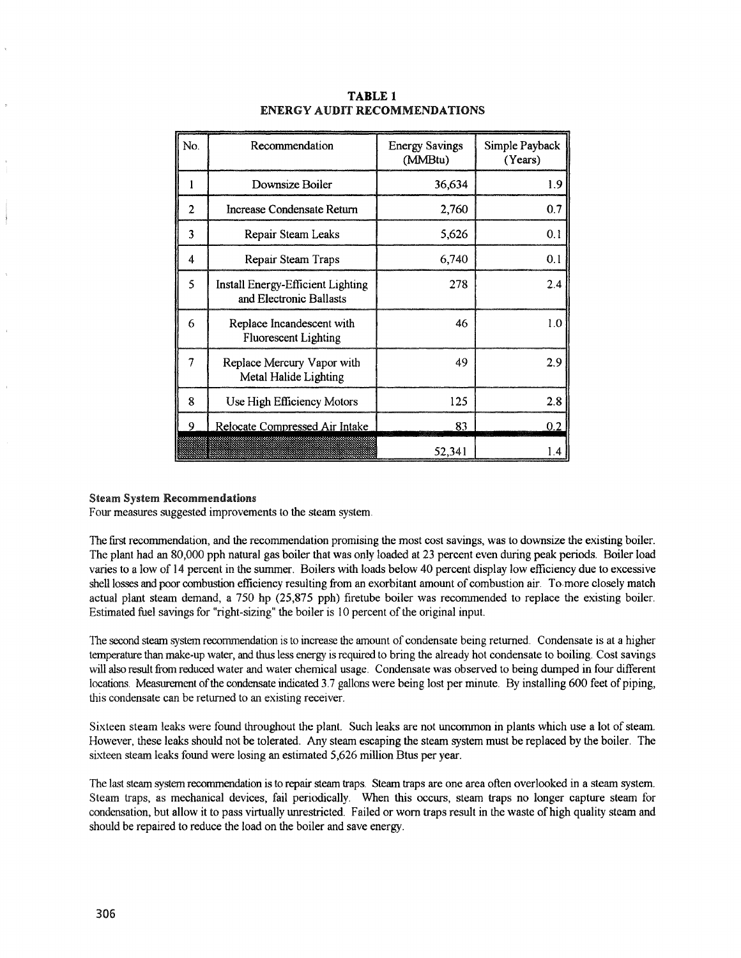| No. | Recommendation                                               | <b>Energy Savings</b><br>(MMBtu) | Simple Payback<br>(Years) |
|-----|--------------------------------------------------------------|----------------------------------|---------------------------|
|     | Downsize Boiler                                              | 36,634                           | 1.9                       |
| 2   | Increase Condensate Return                                   | 2,760                            | 0.7                       |
| 3   | Repair Steam Leaks                                           | 5,626                            | 0.1                       |
| 4   | Repair Steam Traps                                           | 6,740                            | 0.1                       |
| 5   | Install Energy-Efficient Lighting<br>and Electronic Ballasts | 278                              | 2.4                       |
| 6   | Replace Incandescent with<br><b>Fluorescent Lighting</b>     | 46                               | 1.0                       |
| 7   | Replace Mercury Vapor with<br>Metal Halide Lighting          | 49                               | 2.9                       |
| 8   | Use High Efficiency Motors                                   | 125                              | 2.8                       |
| Q   | Relocate Compressed Air Intake                               | 83                               | 0.2                       |
|     |                                                              | 52,341                           | 1.4                       |

### TABLE 1 ENERGY AUDIT RECOMMENDATIONS

#### Steam System Recommendations

Four measures suggested improvements to the steam system.

The frrst recommendation, and the recommendation promising the most cost savings, was to downsize the existing boiler. The plant had an 80,000 pph natural gas boiler that was only loaded at 23 percent even during peak periods. Boiler load varies to a low of 14 percent in the summer. Boilers with loads below 40 percent display low efficiency due to excessive shell losses and poor combustion efficiency resulting from an exorbitant amount of combustion air. To more closely match actual plant steam demand, a 750 hp (25,875 pph) firetube boiler was recommended to replace the existing boiler. Estimated fuel savings for "right-sizing" the boiler is 10 percent of the original input.

The second steam system recommendation is to increase the amount of condensate being returned. Condensate is at a higher temperature than make-up water, and thus less energy is required to bring the already hot condensate to boiling. Cost savings will also result from reduced water and water chemical usage. Condensate was observed to being dumped in four different locations. Measurement of the condensate indicated 3.7 gallons were being lost per minute. By installing 600 feet of piping, this condensate can be retwned to an existing receiver.

Sixteen steam leaks were found throughout the plant. Such leaks are not uncommon in plants which use a lot of steam. However, these leaks should not be tolerated. Any steam escaping the steam system must be replaced by the boiler. The sixteen steam leaks found were losing an estimated 5,626 million Btus per year.

The last steam system recommendation is to repair steam traps. Stearn traps are one area often overlooked in a steam system. Stearn traps, as mechanical devices, fail periodically. When this occurs, steam traps no longer capture steam for condensation, but allow it to pass virtually unrestricted. Failed or worn traps result in the waste of high quality steam and should be repaired to reduce the load on the boiler and save energy.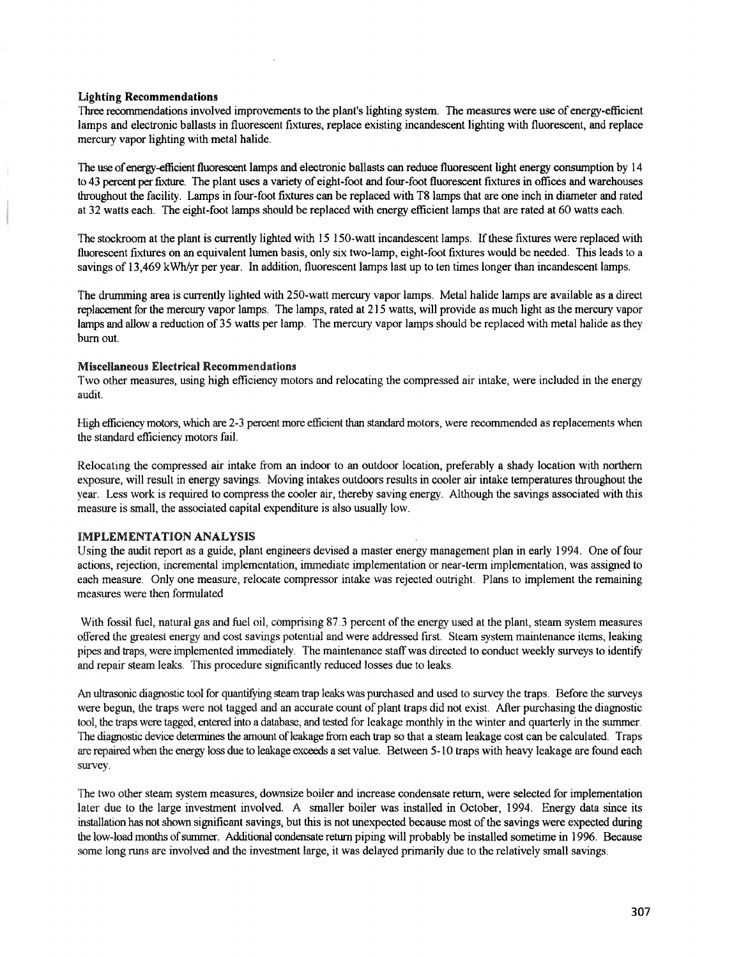#### Lighting Recommendations

Three recommendations involved improvements to the plant's lighting system. The measures were use ofenergy-efficient lamps and electronic ballasts in fluorescent fixtures, replace existing incandescent lighting with fluorescent, and replace mercury vapor lighting with metal halide.

The use of energy-efficient fluorescent lamps and electronic ballasts can reduce fluorescent light energy consumption by 14 to 43 percent per fixture. The plant uses a variety of eight-foot and four-foot fluorescent fixtures in offices and warehouses throughout the facility. Lamps in four-foot fixtures can be replaced with T8 lamps that are one inch in diameter and rated at 32 watts each. The eight-foot lamps should be replaced with energy efficient lamps that are rated at 60 watts each.

The stockroom at the plant is currently lighted with 15 150-watt incandescent lamps. If these fixtures were replaced with fluorescent fixtures on an equivalent lumen basis, only six two-lamp, eight-foot fixtures would be needed. This leads to a savings of 13,469 kWh/yr per year. In addition, fluorescent lamps last up to ten times longer than incandescent lamps.

The drumming area is currently lighted with 250-watt mercury vapor lamps. Metal halide lamps are available as a direct replacement for the mercwy vapor lamps. The lamps, rated at 215 watts, will provide as much light as the mercury vapor lamps and allow a reduction of 35 watts per lamp. The mercury vapor lamps should be replaced with metal halide as they burn out.

### Miscellaneous Electrical Recommendations

Two other measures, using high efficiency motors and relocating the compressed air intake, were included in the energy audit.

High efficiency motors, which are 2-3 percent more efficient than standard motors, were recommended as replacements when the standard efficiency motors fail.

Relocating the compressed air intake from an indoor to an outdoor location, preferably a shady location with northern exposure, will result in energy savings. Moving intakes outdoors results in cooler air intake temperatures throughout the year. Less work is required to compress the cooler air, thereby saving energy. Although the savings associated with this measure is small, the associated capital expenditure is also usually low.

### IMPLEMENTATION ANALYSIS

Using the audit report as a guide, plant engineers devised a master energy management plan in early 1994. One of four actions, rejection, incremental implementation, immediate implementation or near-tenn implementation, was assigned to each measure. Only one measure, relocate compressor intake was rejected outright. Plans to implement the remaining measures were then fonnulated

With fossil fuel, natural gas and fuel oil, comprising 87.3 percent of the energy used at the plant, steam system measures offered the greatest energy and cost savings potential and were addressed first. Steam system maintenance items, leaking pipes and traps, were implemented immediately\_ The maintenance staffwas directed to conduct weekly surveys to identify and repair steam leaks. This procedure significantly reduced losses due to leaks.

An ultrasonic diagnostic tool for quantifying steam trap leaks was purchased and used to survey the traps. Before the surveys were begun, the traps were not tagged and an accurate count of plant traps did not exist. After purchasing the diagnostic tool, the traps were tagged, entered into a database, and tested for leakage monthly in the winter and quarterly in the summer. The diagnostic device detennines the amount ofleakage from each trap so that a steam leakage cost can be calculated. Traps are repaired when the energy loss due to leakage exceeds a set value. Between 5-10 traps with heavy leakage are found each survey.

The two other steam system measures, downsize boiler and increase condensate return, were selected for implementation later due to the large investment involved. A smaller boiler was installed in October, 1994. Energy data since its installation has not shown significant savings, but this is not unexpected because most of the savings were expected during the low-load months ofsummer. Additional condensate retwn piping will probably be installed sometime in 1996. Because some long runs are involved and the investment large, it was delayed primarily due to the relatively small savings.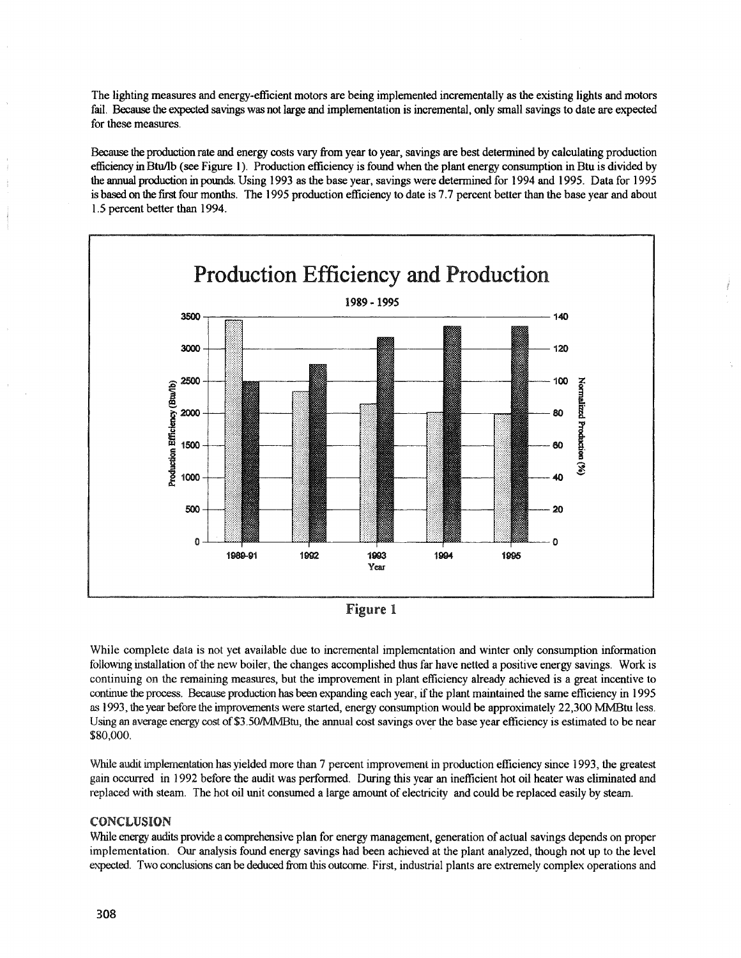The lighting measures and energy-efficient motors are being implemented incrementally as the existing lights and motors fail. Because the expected savings was not large and implementation is incremental, only small savings to date are expected for these measures.

Because the production rate and energy costs vary from year to year, savings are best determined by calculating production efficiency in Btu/lb (see Figure 1). Production efficiency is found when the plant energy consumption in Btu is divided by the annual production in pounds. Using 1993 as the base year, savings were determined for 1994 and 1995. Data for 1995 is based on the first four months. The 1995 production efficiency to date is 7.7 percent better than the base year and about 1.5 percent better than 1994.





While complete data is not yet available due to incremental implementation and winter only consumption information following installation ofthe new boiler, the changes accomplished thus far have netted a positive energy savings. Work is continuing on the remaining measures, hut the improvement in plant efficiency already achieved is a great incentive to continue the process. Because production has been expanding each year, ifthe plant maintained the same efficiency in 1995 as 1993, the year before the improvements were started, energy consumption would be approximately 22,300 MMBtu less. Using an average energy cost of \$3.50/MMBtu, the annual cost savings over the base year efficiency is estimated to be near \$80,000. .

While audit implementation has yielded more than 7 percent improvement in production efficiency since 1993, the greatest gain occurred in 1992 before the audit was perfonned. During this year an inefficient hot oil heater was eliminated and replaced with steam. The hot oil unit consumed a large amount of electricity and could be replaced easily by steam.

# CONCLUSION

While energy audits provide a comprehensive plan for energy management, generation of actual savings depends on proper implementation. Our analysis found energy savings had been achieved at the plant analyzed, though not up to the level expected. Two conclusions can be deduced from this outcome. First, industrial plants are extremely complex operations and